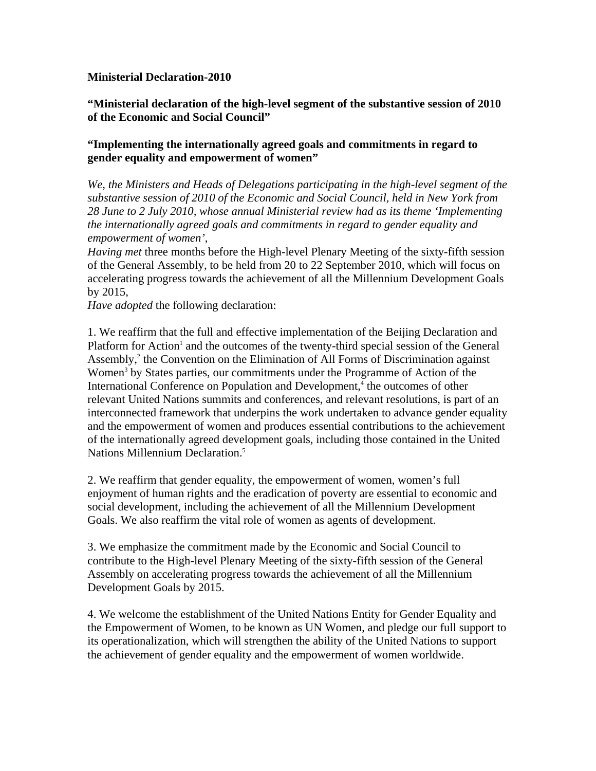## **Ministerial Declaration-2010**

**"Ministerial declaration of the high-level segment of the substantive session of 2010 of the Economic and Social Council"** 

## **"Implementing the internationally agreed goals and commitments in regard to gender equality and empowerment of women"**

*We, the Ministers and Heads of Delegations participating in the high-level segment of the substantive session of 2010 of the Economic and Social Council, held in New York from 28 June to 2 July 2010, whose annual Ministerial review had as its theme 'Implementing the internationally agreed goals and commitments in regard to gender equality and empowerment of women'*,

*Having met* three months before the High-level Plenary Meeting of the sixty-fifth session of the General Assembly, to be held from 20 to 22 September 2010, which will focus on accelerating progress towards the achievement of all the Millennium Development Goals by 2015,

*Have adopted* the following declaration:

1. We reaffirm that the full and effective implementation of the Beijing Declaration and Platform for Action<sup>1</sup> and the outcomes of the twenty-third special session of the General Assembly,<sup>2</sup> the Convention on the Elimination of All Forms of Discrimination against Women<sup>3</sup> by States parties, our commitments under the Programme of Action of the International Conference on Population and Development,<sup>4</sup> the outcomes of other relevant United Nations summits and conferences, and relevant resolutions, is part of an interconnected framework that underpins the work undertaken to advance gender equality and the empowerment of women and produces essential contributions to the achievement of the internationally agreed development goals, including those contained in the United Nations Millennium Declaration.<sup>5</sup>

2. We reaffirm that gender equality, the empowerment of women, women's full enjoyment of human rights and the eradication of poverty are essential to economic and social development, including the achievement of all the Millennium Development Goals. We also reaffirm the vital role of women as agents of development.

3. We emphasize the commitment made by the Economic and Social Council to contribute to the High-level Plenary Meeting of the sixty-fifth session of the General Assembly on accelerating progress towards the achievement of all the Millennium Development Goals by 2015.

4. We welcome the establishment of the United Nations Entity for Gender Equality and the Empowerment of Women, to be known as UN Women, and pledge our full support to its operationalization, which will strengthen the ability of the United Nations to support the achievement of gender equality and the empowerment of women worldwide.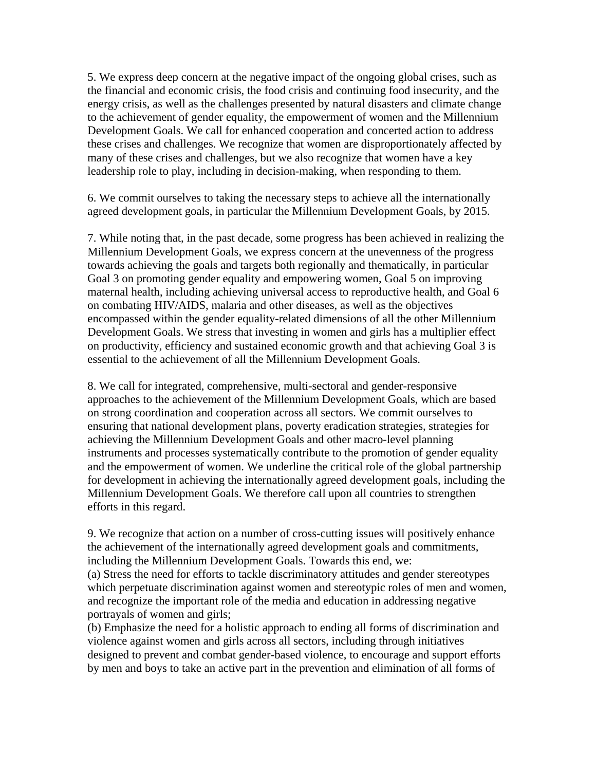5. We express deep concern at the negative impact of the ongoing global crises, such as the financial and economic crisis, the food crisis and continuing food insecurity, and the energy crisis, as well as the challenges presented by natural disasters and climate change to the achievement of gender equality, the empowerment of women and the Millennium Development Goals. We call for enhanced cooperation and concerted action to address these crises and challenges. We recognize that women are disproportionately affected by many of these crises and challenges, but we also recognize that women have a key leadership role to play, including in decision-making, when responding to them.

6. We commit ourselves to taking the necessary steps to achieve all the internationally agreed development goals, in particular the Millennium Development Goals, by 2015.

7. While noting that, in the past decade, some progress has been achieved in realizing the Millennium Development Goals, we express concern at the unevenness of the progress towards achieving the goals and targets both regionally and thematically, in particular Goal 3 on promoting gender equality and empowering women, Goal 5 on improving maternal health, including achieving universal access to reproductive health, and Goal 6 on combating HIV/AIDS, malaria and other diseases, as well as the objectives encompassed within the gender equality-related dimensions of all the other Millennium Development Goals. We stress that investing in women and girls has a multiplier effect on productivity, efficiency and sustained economic growth and that achieving Goal 3 is essential to the achievement of all the Millennium Development Goals.

8. We call for integrated, comprehensive, multi-sectoral and gender-responsive approaches to the achievement of the Millennium Development Goals, which are based on strong coordination and cooperation across all sectors. We commit ourselves to ensuring that national development plans, poverty eradication strategies, strategies for achieving the Millennium Development Goals and other macro-level planning instruments and processes systematically contribute to the promotion of gender equality and the empowerment of women. We underline the critical role of the global partnership for development in achieving the internationally agreed development goals, including the Millennium Development Goals. We therefore call upon all countries to strengthen efforts in this regard.

9. We recognize that action on a number of cross-cutting issues will positively enhance the achievement of the internationally agreed development goals and commitments, including the Millennium Development Goals. Towards this end, we: (a) Stress the need for efforts to tackle discriminatory attitudes and gender stereotypes which perpetuate discrimination against women and stereotypic roles of men and women, and recognize the important role of the media and education in addressing negative portrayals of women and girls;

(b) Emphasize the need for a holistic approach to ending all forms of discrimination and violence against women and girls across all sectors, including through initiatives designed to prevent and combat gender-based violence, to encourage and support efforts by men and boys to take an active part in the prevention and elimination of all forms of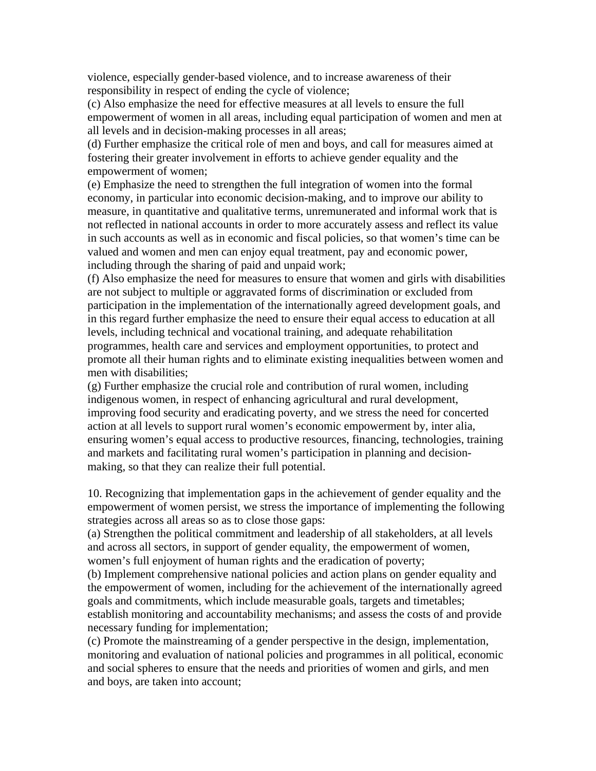violence, especially gender-based violence, and to increase awareness of their responsibility in respect of ending the cycle of violence;

(c) Also emphasize the need for effective measures at all levels to ensure the full empowerment of women in all areas, including equal participation of women and men at all levels and in decision-making processes in all areas;

(d) Further emphasize the critical role of men and boys, and call for measures aimed at fostering their greater involvement in efforts to achieve gender equality and the empowerment of women;

(e) Emphasize the need to strengthen the full integration of women into the formal economy, in particular into economic decision-making, and to improve our ability to measure, in quantitative and qualitative terms, unremunerated and informal work that is not reflected in national accounts in order to more accurately assess and reflect its value in such accounts as well as in economic and fiscal policies, so that women's time can be valued and women and men can enjoy equal treatment, pay and economic power, including through the sharing of paid and unpaid work;

(f) Also emphasize the need for measures to ensure that women and girls with disabilities are not subject to multiple or aggravated forms of discrimination or excluded from participation in the implementation of the internationally agreed development goals, and in this regard further emphasize the need to ensure their equal access to education at all levels, including technical and vocational training, and adequate rehabilitation programmes, health care and services and employment opportunities, to protect and promote all their human rights and to eliminate existing inequalities between women and men with disabilities;

(g) Further emphasize the crucial role and contribution of rural women, including indigenous women, in respect of enhancing agricultural and rural development, improving food security and eradicating poverty, and we stress the need for concerted action at all levels to support rural women's economic empowerment by, inter alia, ensuring women's equal access to productive resources, financing, technologies, training and markets and facilitating rural women's participation in planning and decisionmaking, so that they can realize their full potential.

10. Recognizing that implementation gaps in the achievement of gender equality and the empowerment of women persist, we stress the importance of implementing the following strategies across all areas so as to close those gaps:

(a) Strengthen the political commitment and leadership of all stakeholders, at all levels and across all sectors, in support of gender equality, the empowerment of women, women's full enjoyment of human rights and the eradication of poverty;

(b) Implement comprehensive national policies and action plans on gender equality and the empowerment of women, including for the achievement of the internationally agreed goals and commitments, which include measurable goals, targets and timetables; establish monitoring and accountability mechanisms; and assess the costs of and provide necessary funding for implementation;

(c) Promote the mainstreaming of a gender perspective in the design, implementation, monitoring and evaluation of national policies and programmes in all political, economic and social spheres to ensure that the needs and priorities of women and girls, and men and boys, are taken into account;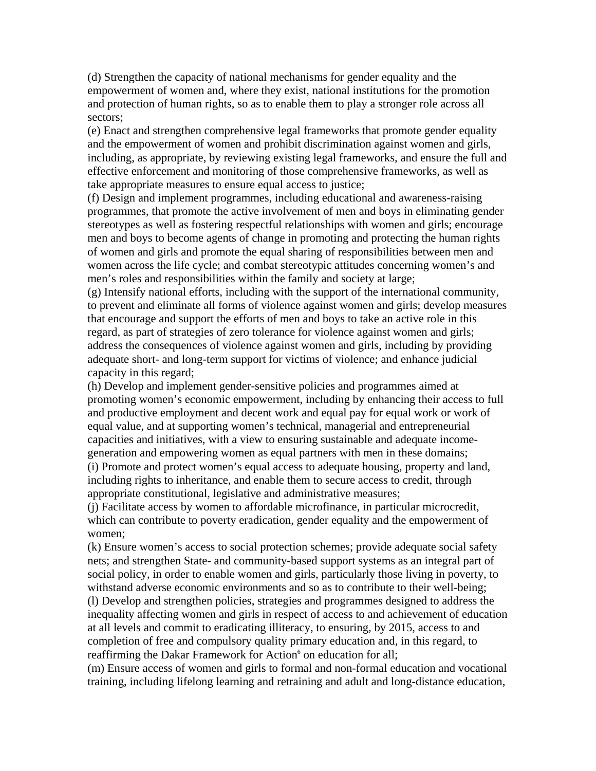(d) Strengthen the capacity of national mechanisms for gender equality and the empowerment of women and, where they exist, national institutions for the promotion and protection of human rights, so as to enable them to play a stronger role across all sectors;

(e) Enact and strengthen comprehensive legal frameworks that promote gender equality and the empowerment of women and prohibit discrimination against women and girls, including, as appropriate, by reviewing existing legal frameworks, and ensure the full and effective enforcement and monitoring of those comprehensive frameworks, as well as take appropriate measures to ensure equal access to justice;

(f) Design and implement programmes, including educational and awareness-raising programmes, that promote the active involvement of men and boys in eliminating gender stereotypes as well as fostering respectful relationships with women and girls; encourage men and boys to become agents of change in promoting and protecting the human rights of women and girls and promote the equal sharing of responsibilities between men and women across the life cycle; and combat stereotypic attitudes concerning women's and men's roles and responsibilities within the family and society at large;

(g) Intensify national efforts, including with the support of the international community, to prevent and eliminate all forms of violence against women and girls; develop measures that encourage and support the efforts of men and boys to take an active role in this regard, as part of strategies of zero tolerance for violence against women and girls; address the consequences of violence against women and girls, including by providing adequate short- and long-term support for victims of violence; and enhance judicial capacity in this regard;

(h) Develop and implement gender-sensitive policies and programmes aimed at promoting women's economic empowerment, including by enhancing their access to full and productive employment and decent work and equal pay for equal work or work of equal value, and at supporting women's technical, managerial and entrepreneurial capacities and initiatives, with a view to ensuring sustainable and adequate incomegeneration and empowering women as equal partners with men in these domains;

(i) Promote and protect women's equal access to adequate housing, property and land, including rights to inheritance, and enable them to secure access to credit, through appropriate constitutional, legislative and administrative measures;

(j) Facilitate access by women to affordable microfinance, in particular microcredit, which can contribute to poverty eradication, gender equality and the empowerment of women;

(k) Ensure women's access to social protection schemes; provide adequate social safety nets; and strengthen State- and community-based support systems as an integral part of social policy, in order to enable women and girls, particularly those living in poverty, to withstand adverse economic environments and so as to contribute to their well-being; (l) Develop and strengthen policies, strategies and programmes designed to address the inequality affecting women and girls in respect of access to and achievement of education at all levels and commit to eradicating illiteracy, to ensuring, by 2015, access to and completion of free and compulsory quality primary education and, in this regard, to reaffirming the Dakar Framework for Action<sup>6</sup> on education for all;

(m) Ensure access of women and girls to formal and non-formal education and vocational training, including lifelong learning and retraining and adult and long-distance education,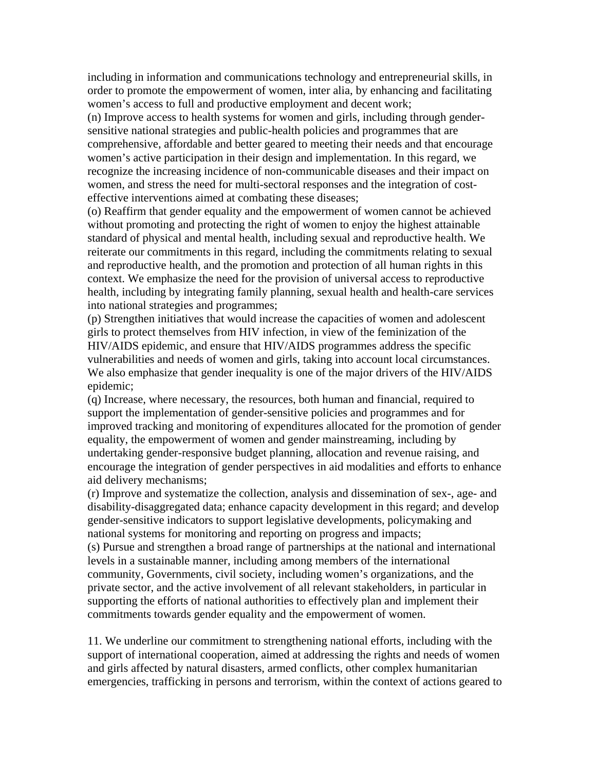including in information and communications technology and entrepreneurial skills, in order to promote the empowerment of women, inter alia, by enhancing and facilitating women's access to full and productive employment and decent work;

(n) Improve access to health systems for women and girls, including through gendersensitive national strategies and public-health policies and programmes that are comprehensive, affordable and better geared to meeting their needs and that encourage women's active participation in their design and implementation. In this regard, we recognize the increasing incidence of non-communicable diseases and their impact on women, and stress the need for multi-sectoral responses and the integration of costeffective interventions aimed at combating these diseases;

(o) Reaffirm that gender equality and the empowerment of women cannot be achieved without promoting and protecting the right of women to enjoy the highest attainable standard of physical and mental health, including sexual and reproductive health. We reiterate our commitments in this regard, including the commitments relating to sexual and reproductive health, and the promotion and protection of all human rights in this context. We emphasize the need for the provision of universal access to reproductive health, including by integrating family planning, sexual health and health-care services into national strategies and programmes;

(p) Strengthen initiatives that would increase the capacities of women and adolescent girls to protect themselves from HIV infection, in view of the feminization of the HIV/AIDS epidemic, and ensure that HIV/AIDS programmes address the specific vulnerabilities and needs of women and girls, taking into account local circumstances. We also emphasize that gender inequality is one of the major drivers of the HIV/AIDS epidemic;

(q) Increase, where necessary, the resources, both human and financial, required to support the implementation of gender-sensitive policies and programmes and for improved tracking and monitoring of expenditures allocated for the promotion of gender equality, the empowerment of women and gender mainstreaming, including by undertaking gender-responsive budget planning, allocation and revenue raising, and encourage the integration of gender perspectives in aid modalities and efforts to enhance aid delivery mechanisms;

(r) Improve and systematize the collection, analysis and dissemination of sex-, age- and disability-disaggregated data; enhance capacity development in this regard; and develop gender-sensitive indicators to support legislative developments, policymaking and national systems for monitoring and reporting on progress and impacts;

(s) Pursue and strengthen a broad range of partnerships at the national and international levels in a sustainable manner, including among members of the international community, Governments, civil society, including women's organizations, and the private sector, and the active involvement of all relevant stakeholders, in particular in supporting the efforts of national authorities to effectively plan and implement their commitments towards gender equality and the empowerment of women.

11. We underline our commitment to strengthening national efforts, including with the support of international cooperation, aimed at addressing the rights and needs of women and girls affected by natural disasters, armed conflicts, other complex humanitarian emergencies, trafficking in persons and terrorism, within the context of actions geared to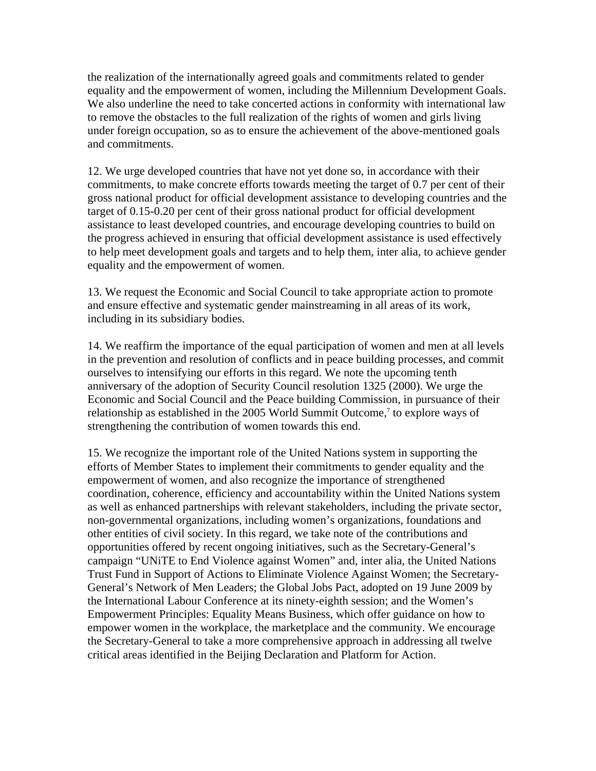the realization of the internationally agreed goals and commitments related to gender equality and the empowerment of women, including the Millennium Development Goals. We also underline the need to take concerted actions in conformity with international law to remove the obstacles to the full realization of the rights of women and girls living under foreign occupation, so as to ensure the achievement of the above-mentioned goals and commitments.

12. We urge developed countries that have not yet done so, in accordance with their commitments, to make concrete efforts towards meeting the target of 0.7 per cent of their gross national product for official development assistance to developing countries and the target of 0.15-0.20 per cent of their gross national product for official development assistance to least developed countries, and encourage developing countries to build on the progress achieved in ensuring that official development assistance is used effectively to help meet development goals and targets and to help them, inter alia, to achieve gender equality and the empowerment of women.

13. We request the Economic and Social Council to take appropriate action to promote and ensure effective and systematic gender mainstreaming in all areas of its work, including in its subsidiary bodies.

14. We reaffirm the importance of the equal participation of women and men at all levels in the prevention and resolution of conflicts and in peace building processes, and commit ourselves to intensifying our efforts in this regard. We note the upcoming tenth anniversary of the adoption of Security Council resolution 1325 (2000). We urge the Economic and Social Council and the Peace building Commission, in pursuance of their relationship as established in the 2005 World Summit Outcome,<sup>7</sup> to explore ways of strengthening the contribution of women towards this end.

15. We recognize the important role of the United Nations system in supporting the efforts of Member States to implement their commitments to gender equality and the empowerment of women, and also recognize the importance of strengthened coordination, coherence, efficiency and accountability within the United Nations system as well as enhanced partnerships with relevant stakeholders, including the private sector, non-governmental organizations, including women's organizations, foundations and other entities of civil society. In this regard, we take note of the contributions and opportunities offered by recent ongoing initiatives, such as the Secretary-General's campaign "UNiTE to End Violence against Women" and, inter alia, the United Nations Trust Fund in Support of Actions to Eliminate Violence Against Women; the Secretary-General's Network of Men Leaders; the Global Jobs Pact, adopted on 19 June 2009 by the International Labour Conference at its ninety-eighth session; and the Women's Empowerment Principles: Equality Means Business, which offer guidance on how to empower women in the workplace, the marketplace and the community. We encourage the Secretary-General to take a more comprehensive approach in addressing all twelve critical areas identified in the Beijing Declaration and Platform for Action.